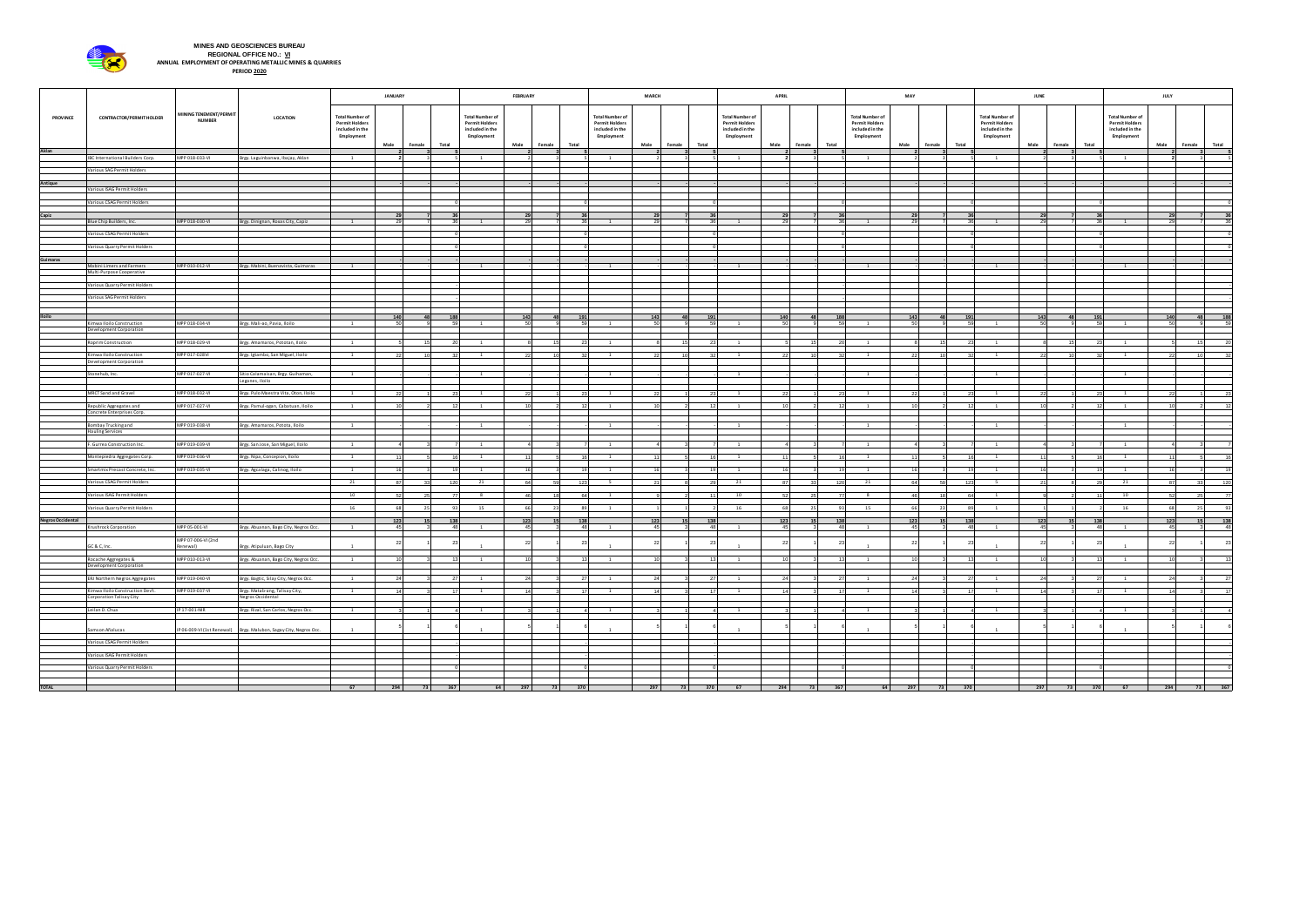|                          | <b>CONTRACTOR/PERMIT HOLDER</b>                              | MINING TENEMENT/PERMIT<br><b>NUMBER</b> | LOCATION                                                            | <b>JANUARY</b>                                                                   |           |                 |                 | <b>FEBRUARY</b>                                                                 |             |                 | <b>MARCH</b>                                                                     |           |        | <b>APRIL</b> |                                                                                  |                 |                 | MAY                                                                              |                 |                 | <b>JUNE</b>                                                                      |           |              | <b>JULY</b> |                                                                                  |                        |                  |
|--------------------------|--------------------------------------------------------------|-----------------------------------------|---------------------------------------------------------------------|----------------------------------------------------------------------------------|-----------|-----------------|-----------------|---------------------------------------------------------------------------------|-------------|-----------------|----------------------------------------------------------------------------------|-----------|--------|--------------|----------------------------------------------------------------------------------|-----------------|-----------------|----------------------------------------------------------------------------------|-----------------|-----------------|----------------------------------------------------------------------------------|-----------|--------------|-------------|----------------------------------------------------------------------------------|------------------------|------------------|
| <b>PROVINCE</b>          |                                                              |                                         |                                                                     | <b>Total Number of</b><br><b>Permit Holders</b><br>included in the<br>Employment | Male      | Female          | Total           | <b>Total Number o</b><br><b>Permit Holders</b><br>included in the<br>Employment | Male        | Female<br>Total | <b>Total Number of</b><br><b>Permit Holders</b><br>included in the<br>Employment | Male      | Female | Total        | <b>Total Number of</b><br><b>Permit Holders</b><br>included in the<br>Employment | Male            | Total<br>Female | <b>Total Number of</b><br><b>Permit Holders</b><br>included in the<br>Employment | Male<br>Female  | Total           | <b>Total Number of</b><br><b>Permit Holders</b><br>included in the<br>Employment | Male      | Female Total |             | <b>Total Number of</b><br><b>Permit Holders</b><br>included in the<br>Employment | Male<br>Female         | <b>Total</b>     |
| Aklan                    | IBC International Builders Corp.                             | MPP 018-033-VI                          | Brgy. Laguinbanwa, Ibajay, Aklan                                    | $\overline{1}$                                                                   |           |                 |                 | $\mathbf{1}$                                                                    |             |                 | $\overline{1}$                                                                   |           |        |              | $\mathbf{1}$                                                                     |                 |                 | $\mathbf{1}$                                                                     |                 |                 | $\mathbf{1}$                                                                     |           |              |             | $\overline{1}$                                                                   |                        |                  |
|                          | Various SAG Permit Holders                                   |                                         |                                                                     |                                                                                  |           |                 |                 |                                                                                 |             |                 |                                                                                  |           |        |              |                                                                                  |                 |                 |                                                                                  |                 |                 |                                                                                  |           |              |             |                                                                                  |                        |                  |
| Antique                  |                                                              |                                         |                                                                     |                                                                                  |           |                 |                 |                                                                                 |             |                 |                                                                                  |           |        |              |                                                                                  |                 |                 |                                                                                  |                 |                 |                                                                                  |           |              |             |                                                                                  |                        |                  |
|                          | Various ISAG Permit Holders<br>Various CSAG Permit Holders   |                                         |                                                                     |                                                                                  |           |                 |                 |                                                                                 |             |                 |                                                                                  |           |        |              |                                                                                  |                 |                 |                                                                                  |                 |                 |                                                                                  |           |              |             |                                                                                  |                        |                  |
| Capiz                    |                                                              |                                         |                                                                     |                                                                                  |           |                 |                 |                                                                                 |             |                 |                                                                                  |           |        |              |                                                                                  |                 |                 |                                                                                  |                 |                 |                                                                                  |           |              |             |                                                                                  |                        |                  |
|                          | Blue Chip Builders, Inc.                                     | MPP 018-030-VI                          | Brgy. Dinignan, Roxas City, Capiz                                   | $\overline{1}$                                                                   |           |                 |                 |                                                                                 |             |                 |                                                                                  |           |        |              |                                                                                  | - 29            |                 |                                                                                  |                 |                 |                                                                                  |           |              |             |                                                                                  |                        |                  |
|                          | Various CSAG Permit Holders<br>Various Quarry Permit Holders |                                         |                                                                     |                                                                                  |           |                 |                 |                                                                                 |             |                 |                                                                                  |           |        |              |                                                                                  |                 |                 |                                                                                  |                 |                 |                                                                                  |           |              |             |                                                                                  |                        |                  |
| Guimaras                 |                                                              |                                         |                                                                     |                                                                                  |           |                 |                 |                                                                                 |             |                 |                                                                                  |           |        |              |                                                                                  |                 |                 |                                                                                  |                 |                 |                                                                                  |           |              |             |                                                                                  |                        |                  |
|                          | Mabini Limers and Farmers<br>Multi-Purpose Cooperative       | MPP 010-012-VI                          | Brgy. Mabini, Buenavista, Guimaras                                  |                                                                                  |           |                 |                 |                                                                                 |             |                 |                                                                                  |           |        |              |                                                                                  |                 |                 |                                                                                  |                 |                 |                                                                                  |           |              |             |                                                                                  |                        |                  |
|                          | Various Quarry Permit Holders                                |                                         |                                                                     |                                                                                  |           |                 |                 |                                                                                 |             |                 |                                                                                  |           |        |              |                                                                                  |                 |                 |                                                                                  |                 |                 |                                                                                  |           |              |             |                                                                                  |                        |                  |
|                          | Various SAG Permit Holders                                   |                                         |                                                                     |                                                                                  |           |                 |                 |                                                                                 |             |                 |                                                                                  |           |        |              |                                                                                  |                 |                 |                                                                                  |                 |                 |                                                                                  |           |              |             |                                                                                  |                        |                  |
| <b>Iloilo</b>            |                                                              |                                         |                                                                     |                                                                                  | 140       |                 |                 |                                                                                 | 143         |                 | 19                                                                               | 143       |        | 191          |                                                                                  | 140             |                 |                                                                                  | 143             |                 | 191                                                                              | 143       |              | 191         |                                                                                  | 140                    | 188              |
|                          | Kimwa Iloilo Construction<br><b>Development Corporation</b>  | MPP 018-034-VI                          | Brgy. Mali-ao, Pavia, Iloilo                                        | 1                                                                                | 50        |                 |                 |                                                                                 | - 50        |                 | $\overline{1}$                                                                   |           |        |              |                                                                                  | -50             |                 |                                                                                  |                 |                 | 59                                                                               |           |              |             |                                                                                  | 50                     |                  |
|                          | Roprim Construction                                          | MPP 018-029-VI                          | Brgy. Amamaros, Pototan, Iloilo                                     | $\mathbf{1}$                                                                     |           | 15              | 20 I            | - 1                                                                             |             |                 | $\mathbf{1}$                                                                     |           | 15     | 23 I         | 1                                                                                |                 | 15              | $\mathbf{1}$                                                                     |                 | 15 <sup>1</sup> | 23<br>1                                                                          |           |              |             | $\overline{1}$                                                                   |                        | 151              |
|                          | Kimwa Iloilo Construction                                    | MPP 017-028VI                           | Brgy. Igtambo, San Miguel, Iloilo                                   | $\mathbf{1}$                                                                     |           | 1 N             |                 |                                                                                 |             |                 |                                                                                  |           | 1 N    | -27          |                                                                                  | - 22            | 1 O             |                                                                                  | -22             | 10              |                                                                                  |           |              |             |                                                                                  | 221                    | 10 I<br>-321     |
|                          | Development Corporation<br>Stonehub, Inc.                    | MPP 017-027-VI                          | Sitio Calamaisan, Brgy. Guihaman,                                   | $\overline{1}$                                                                   |           |                 |                 | $\mathbf{1}$                                                                    |             |                 | $\overline{1}$                                                                   |           |        |              | 1                                                                                |                 |                 | 1                                                                                |                 |                 | $\mathbf{1}$                                                                     |           |              |             | $\overline{1}$                                                                   |                        |                  |
|                          |                                                              |                                         | Leganes, Iloilo                                                     |                                                                                  |           |                 |                 |                                                                                 |             |                 |                                                                                  |           |        |              |                                                                                  |                 |                 |                                                                                  |                 |                 |                                                                                  |           |              |             |                                                                                  |                        |                  |
|                          | MRCT Sand and Gravel                                         | MPP 018-032-VI                          | Brgy. Pulo Maestra Vita, Oton, Iloilo                               | $\overline{1}$                                                                   |           |                 | -231            | $\mathbf{1}$                                                                    | 22          |                 | 1                                                                                | 22        |        | -231         | 1                                                                                | 22              |                 | $\mathbf{1}$                                                                     | 22              |                 | 23<br>$\overline{1}$                                                             |           |              |             | $\overline{1}$                                                                   | 22                     | 23               |
|                          | Republic Aggregates and<br>Concrete Enterprises Corp.        | MPP 017-027-VI                          | Brgy. Pamul-ogan, Cabatuan, Iloilo                                  | $\mathbf{1}$                                                                     |           |                 |                 |                                                                                 | −1∩         |                 | 1                                                                                |           |        | - 12         | $\overline{1}$                                                                   | 10              |                 | $\mathbf{1}$                                                                     |                 |                 | 12<br>- 1                                                                        |           |              |             | $\mathbf{1}$                                                                     |                        | 12 <sup>1</sup>  |
|                          | Bombay Trucking and<br><b>Hauling Services</b>               | MPP 019-038-VI                          | Brgy. Amamaros, Potota, Iloilo                                      | $\overline{1}$                                                                   |           |                 |                 | - 1                                                                             |             |                 | $\overline{1}$                                                                   |           |        |              | $\overline{\mathbf{1}}$                                                          |                 |                 | - 1                                                                              |                 |                 |                                                                                  |           |              |             | $\overline{1}$                                                                   |                        |                  |
|                          | F. Gurrea Construction Inc.                                  | MPP 019-039-VI                          | Brgy. San Jose, San Miguel, Iloilo                                  | $\overline{1}$                                                                   |           |                 |                 | $\mathbf{1}$                                                                    |             |                 | $\overline{1}$                                                                   |           |        |              | 1                                                                                |                 |                 | $\mathbf{1}$                                                                     | $\Delta$        |                 | 1                                                                                |           |              |             | $\overline{1}$                                                                   |                        |                  |
|                          | Montepiedra Aggregates Corp.                                 | MPP 019-036-VI                          | Brgy. Nipa, Concepion, Iloilo                                       | $\overline{1}$                                                                   | 11        |                 | 16              | $\mathbf{1}$                                                                    | 111         |                 | $\overline{1}$                                                                   | 11        |        |              | $\mathbf{1}$                                                                     | 111             |                 | $\mathbf{1}$                                                                     | 111             |                 | 16 I<br>$\mathbf{1}$                                                             | $-11$     |              |             | $\mathbf{1}$                                                                     | 11                     | 16               |
|                          | Smartmix Precast Concrete, Inc.                              | MPP 019-035-VI                          | Brgy. Agcalaga, Calinog, Iloilo                                     | $\overline{1}$                                                                   | 16        |                 | 19              | $\overline{1}$                                                                  | 16          |                 | $\overline{1}$                                                                   | 16        |        | - 19         | $\overline{1}$                                                                   | - 16            |                 | $\overline{1}$<br>11                                                             | 16              |                 | - 19  <br>$\overline{1}$                                                         | 16        |              |             | $\overline{1}$                                                                   | 16                     | 19               |
|                          | Various CSAG Permit Holders                                  |                                         |                                                                     | 21                                                                               | 87        | 33              | 120             | 21                                                                              | 64          | EΩ.             | - 123<br>- 5 -                                                                   | - 21      |        | 20 L         | 21                                                                               | 87              | つつ              | 120<br>21                                                                        | 64              | 59              | 123<br>$-5$                                                                      | 21        |              |             | 21                                                                               | 87 I                   | 120<br>२२ ।      |
|                          | Various ISAG Permit Holders                                  |                                         |                                                                     | 10                                                                               | -52       | 25              | 77 I            | 8 <sup>2</sup>                                                                  | 461         | 19              | 64<br><sup>1</sup>                                                               |           |        | 11           | 10                                                                               | -521            | 25 I            | 8 <sup>2</sup><br>- 77                                                           | 46              | 18              | 64<br>$\mathbf{1}$                                                               |           |              |             | 10                                                                               | 521                    | 77<br>25 I       |
|                          | Various Quarry Permit Holders                                |                                         |                                                                     | 16                                                                               | - 68      | - 25.           | -93             | 15                                                                              | - 66        |                 | $\overline{1}$                                                                   |           |        |              | 16                                                                               | 68              | 251             | 15                                                                               | -66             |                 | 89 I                                                                             |           |              |             | 16                                                                               | 68 I                   | 93               |
| <b>Negros Occidental</b> | Krushrock Corporation                                        | MPP 05-001-VI                           | Brgy. Abuanan, Bago City, Negros Occ.                               | $\mathbf{1}$                                                                     | 123<br>45 | 15 <sup>1</sup> | 138<br>48       | $\overline{1}$                                                                  | 123<br>- 45 |                 | 138<br>48<br>$\overline{1}$                                                      | 123<br>45 |        | 138<br>48    | $\mathbf{1}$                                                                     | 123<br>451      | 15 <sup>1</sup> | 138<br>48<br>$\overline{1}$                                                      | 123<br>45       | 15 <sup>1</sup> | 138<br>48<br>1                                                                   | 123<br>45 |              | 138<br>48   | $\mathbf{1}$                                                                     | 123<br>45 <sup>1</sup> | $\frac{138}{48}$ |
|                          | GC & C, Inc.                                                 | MPP 07-006-VI (2nd<br>Renewal)          |                                                                     |                                                                                  |           |                 |                 |                                                                                 |             |                 |                                                                                  |           |        |              |                                                                                  |                 |                 |                                                                                  |                 |                 |                                                                                  |           |              |             |                                                                                  |                        | 23               |
|                          | Rocache Aggregates &                                         | MPP 010-013-VI                          | Brgy. Atipuluan, Bago City<br>Brgy. Abuanan, Bago City, Negros Occ. | 1                                                                                |           |                 | 13 <sup>1</sup> |                                                                                 | 10          |                 | $\overline{\phantom{1}}$                                                         |           |        | 13           | $\overline{\phantom{0}}$                                                         | 10 <sup>1</sup> |                 | $-1$                                                                             | 10 <sup>1</sup> |                 | 13                                                                               | 10        |              |             | $\overline{1}$                                                                   | 10                     | 13               |
|                          | Development Corporation                                      |                                         |                                                                     |                                                                                  |           |                 |                 |                                                                                 |             |                 |                                                                                  |           |        |              |                                                                                  |                 |                 |                                                                                  |                 |                 |                                                                                  |           |              |             |                                                                                  |                        |                  |
|                          | ERJ Northern Negros Aggregates                               | MPP 019-040-VI                          | Brgy. Bagtic, Silay City, Negros Occ.                               |                                                                                  |           |                 |                 |                                                                                 |             |                 |                                                                                  |           |        |              |                                                                                  | 24              |                 |                                                                                  | - 24            |                 |                                                                                  |           |              |             |                                                                                  |                        |                  |
|                          | Kimwa Iloilo Construction Dev't.<br>Corporation Talisay City | MPP 019-037-VI                          | Brgy. Matab-ang, Talisay City,<br>Negros Occidental                 | $\overline{\mathbf{1}}$                                                          | 14        |                 | 17              | $\overline{1}$                                                                  | 14          |                 | 17<br><sup>1</sup>                                                               | 14        |        | 17           | $\overline{1}$                                                                   | 14              |                 | 17 <sup>1</sup><br>$\mathbf{1}$                                                  | 14              |                 | 17<br>$\overline{1}$                                                             | 14        |              | 17          | $\overline{1}$                                                                   | 14                     | 17               |
|                          | Leilan D. Chua                                               | IP 17-001-NIR                           | Brgy. Rizal, San Carlos, Negros Occ.                                | $\mathbf{1}$                                                                     |           |                 |                 | $\overline{1}$                                                                  |             |                 | 1                                                                                |           |        |              | $\overline{1}$                                                                   |                 |                 | $\overline{1}$                                                                   |                 |                 | $\overline{1}$                                                                   |           |              |             | $\overline{1}$                                                                   |                        |                  |
|                          | Samson Añalucas                                              |                                         | IP 06-009-VI (1st Renewal) Brgy. Malubon, Sagay City, Negros Occ.   |                                                                                  |           |                 |                 |                                                                                 |             |                 |                                                                                  |           |        |              |                                                                                  |                 |                 |                                                                                  |                 |                 |                                                                                  |           |              |             |                                                                                  |                        |                  |
|                          | Various CSAG Permit Holders                                  |                                         |                                                                     |                                                                                  |           |                 |                 |                                                                                 |             |                 |                                                                                  |           |        |              |                                                                                  |                 |                 |                                                                                  |                 |                 |                                                                                  |           |              |             |                                                                                  |                        |                  |
|                          | Various ISAG Permit Holders                                  |                                         |                                                                     |                                                                                  |           |                 |                 |                                                                                 |             |                 |                                                                                  |           |        |              |                                                                                  |                 |                 |                                                                                  |                 |                 |                                                                                  |           |              |             |                                                                                  |                        |                  |
|                          | Various Quarry Permit Holders                                |                                         |                                                                     |                                                                                  |           |                 |                 |                                                                                 |             |                 |                                                                                  |           |        |              |                                                                                  |                 |                 |                                                                                  |                 |                 |                                                                                  |           |              |             |                                                                                  |                        |                  |
| <b>TOTAL</b>             |                                                              |                                         |                                                                     | 67                                                                               | 294       | 73              | 367             |                                                                                 | 297<br>64 7 | 73 370          |                                                                                  | 297       |        | 73 370       | 67                                                                               | 294             | 73              | 367                                                                              | 64 297 73 370   |                 |                                                                                  |           | 297 73 370   |             | 67                                                                               |                        | 294 73 367       |



## **MINES AND GEOSCIENCES BUREAU REGIONAL OFFICE NO.: VI ANNUAL EMPLOYMENT OF OPERATING METALLIC MINES & QUARRIES PERIOD 2020**